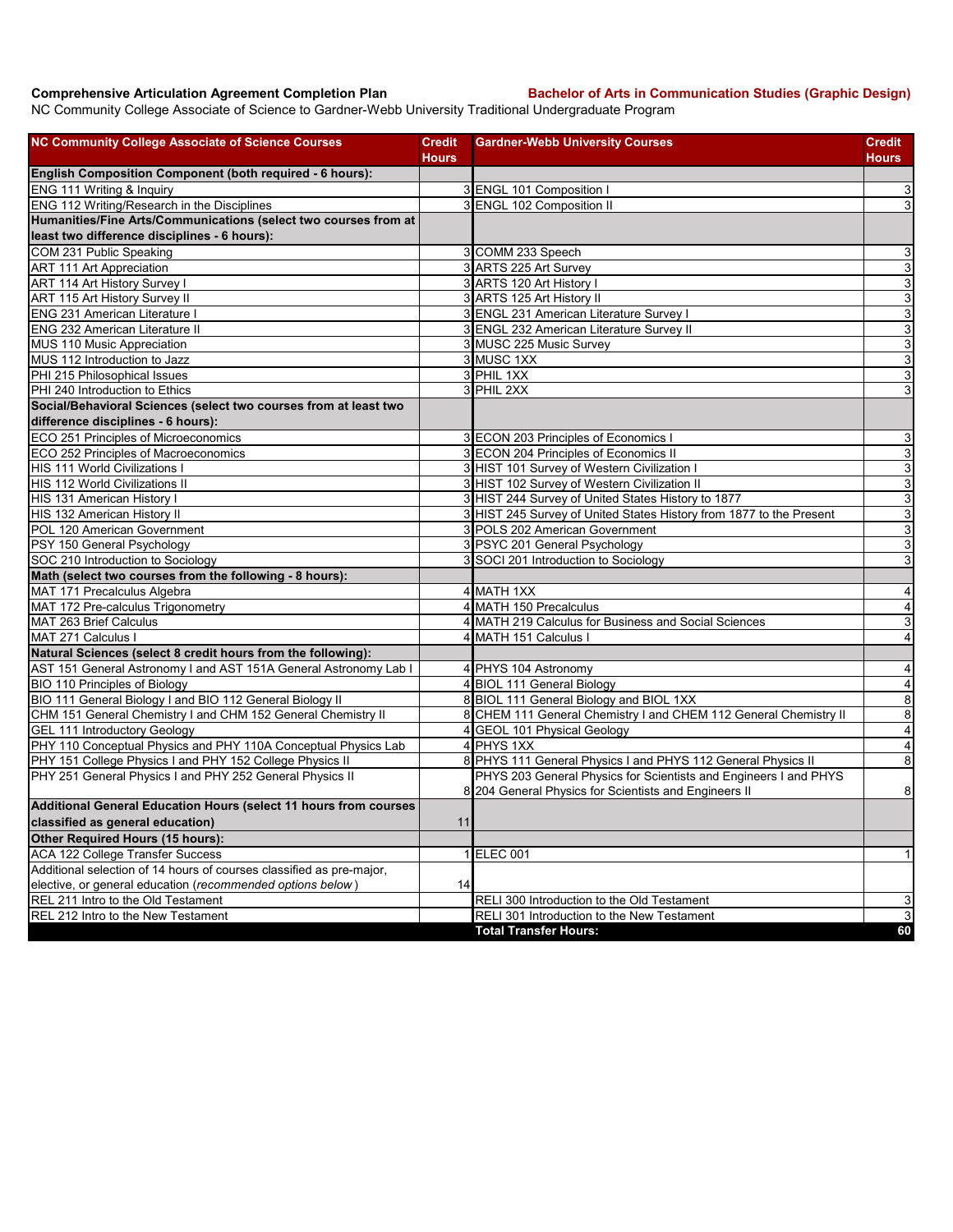**Comprehensive Articulation Agreement Completion Plan Bachelor of Arts in Communication Studies (Graphic Design)** 

NC Community College Associate of Science to Gardner-Webb University Traditional Undergraduate Program

| <b>NC Community College Associate of Science Courses</b>                 | <b>Credit</b>  | <b>Gardner-Webb University Courses</b>                              | <b>Credit</b>             |
|--------------------------------------------------------------------------|----------------|---------------------------------------------------------------------|---------------------------|
|                                                                          | <b>Hours</b>   |                                                                     | Hours                     |
| English Composition Component (both required - 6 hours):                 |                |                                                                     |                           |
| ENG 111 Writing & Inquiry<br>ENG 112 Writing/Research in the Disciplines |                | 3 ENGL 101 Composition<br>3 ENGL 102 Composition II                 | $\mathbf{3}$<br>ω         |
| Humanities/Fine Arts/Communications (select two courses from at          |                |                                                                     |                           |
| least two difference disciplines - 6 hours):                             |                |                                                                     |                           |
| COM 231 Public Speaking                                                  |                | 3 COMM 233 Speech                                                   | $\mathbf{3}$              |
| <b>ART 111 Art Appreciation</b>                                          |                | 3 ARTS 225 Art Survey                                               | $\overline{3}$            |
| ART 114 Art History Survey I                                             |                | 3 ARTS 120 Art History I                                            | 3                         |
| <b>ART 115 Art History Survey II</b>                                     |                | 3 ARTS 125 Art History II                                           | 3                         |
| <b>ENG 231 American Literature I</b>                                     |                | 3 ENGL 231 American Literature Survey I                             | 3                         |
| <b>ENG 232 American Literature II</b>                                    |                | 3 ENGL 232 American Literature Survey II                            | $\overline{3}$            |
| MUS 110 Music Appreciation                                               |                | 3 MUSC 225 Music Survey                                             | $\overline{3}$            |
| MUS 112 Introduction to Jazz                                             |                | 3 MUSC 1XX                                                          | $\overline{3}$            |
| PHI 215 Philosophical Issues                                             |                | 3 PHIL 1XX                                                          | $\ensuremath{\mathsf{3}}$ |
| PHI 240 Introduction to Ethics                                           |                | 3 PHIL 2XX                                                          | 3                         |
| Social/Behavioral Sciences (select two courses from at least two         |                |                                                                     |                           |
| difference disciplines - 6 hours):                                       |                |                                                                     |                           |
| ECO 251 Principles of Microeconomics                                     |                | 3 ECON 203 Principles of Economics I                                | 3                         |
| ECO 252 Principles of Macroeconomics                                     |                | 3 ECON 204 Principles of Economics II                               | $\overline{3}$            |
| HIS 111 World Civilizations I                                            |                | 3 HIST 101 Survey of Western Civilization I                         | 3                         |
| HIS 112 World Civilizations II                                           |                | 3 HIST 102 Survey of Western Civilization II                        | $\mathbf{3}$              |
| HIS 131 American History I                                               |                | HIST 244 Survey of United States History to 1877                    | $\overline{3}$            |
| HIS 132 American History II                                              |                | 3 HIST 245 Survey of United States History from 1877 to the Present | $\mathbf{3}$              |
| POL 120 American Government                                              |                | POLS 202 American Government                                        | 3                         |
| PSY 150 General Psychology                                               |                | 3 PSYC 201 General Psychology                                       | $\overline{3}$            |
| SOC 210 Introduction to Sociology                                        |                | 3 SOCI 201 Introduction to Sociology                                | 3                         |
| Math (select two courses from the following - 8 hours):                  |                |                                                                     |                           |
| MAT 171 Precalculus Algebra                                              |                | 4 MATH 1XX                                                          | $\overline{4}$            |
| MAT 172 Pre-calculus Trigonometry                                        |                | 4 MATH 150 Precalculus                                              | $\overline{\mathbf{4}}$   |
| MAT 263 Brief Calculus                                                   | 4              | MATH 219 Calculus for Business and Social Sciences                  | $\ensuremath{\mathsf{3}}$ |
| MAT 271 Calculus I                                                       | 4              | MATH 151 Calculus I                                                 | $\overline{4}$            |
| Natural Sciences (select 8 credit hours from the following):             |                |                                                                     |                           |
| AST 151 General Astronomy I and AST 151A General Astronomy Lab I         |                | 4 PHYS 104 Astronomy                                                | 4                         |
| BIO 110 Principles of Biology                                            |                | 4 BIOL 111 General Biology                                          | $\overline{4}$            |
| BIO 111 General Biology I and BIO 112 General Biology II                 |                | 8 BIOL 111 General Biology and BIOL 1XX                             | $\overline{8}$            |
| CHM 151 General Chemistry I and CHM 152 General Chemistry II             |                | 8 CHEM 111 General Chemistry I and CHEM 112 General Chemistry II    | $\bf8$                    |
| GEL 111 Introductory Geology                                             | $\overline{4}$ | <b>GEOL 101 Physical Geology</b>                                    | $\overline{4}$            |
| PHY 110 Conceptual Physics and PHY 110A Conceptual Physics Lab           |                | 4 PHYS 1XX                                                          | $\overline{\mathbf{4}}$   |
| PHY 151 College Physics I and PHY 152 College Physics II                 |                | 8 PHYS 111 General Physics I and PHYS 112 General Physics II        | 8                         |
| PHY 251 General Physics I and PHY 252 General Physics II                 |                | PHYS 203 General Physics for Scientists and Engineers I and PHYS    |                           |
|                                                                          |                | 8 204 General Physics for Scientists and Engineers II               | 8                         |
| Additional General Education Hours (select 11 hours from courses         |                |                                                                     |                           |
| classified as general education)                                         | 11             |                                                                     |                           |
| Other Required Hours (15 hours):                                         |                |                                                                     |                           |
| ACA 122 College Transfer Success                                         |                | 1 ELEC 001                                                          | $\mathbf{1}$              |
| Additional selection of 14 hours of courses classified as pre-major,     |                |                                                                     |                           |
| elective, or general education (recommended options below)               | 14             |                                                                     |                           |
| REL 211 Intro to the Old Testament                                       |                | RELI 300 Introduction to the Old Testament                          | $\overline{3}$            |
| REL 212 Intro to the New Testament                                       |                | RELI 301 Introduction to the New Testament                          | $\ensuremath{\mathsf{3}}$ |
|                                                                          |                | <b>Total Transfer Hours:</b>                                        | 60                        |